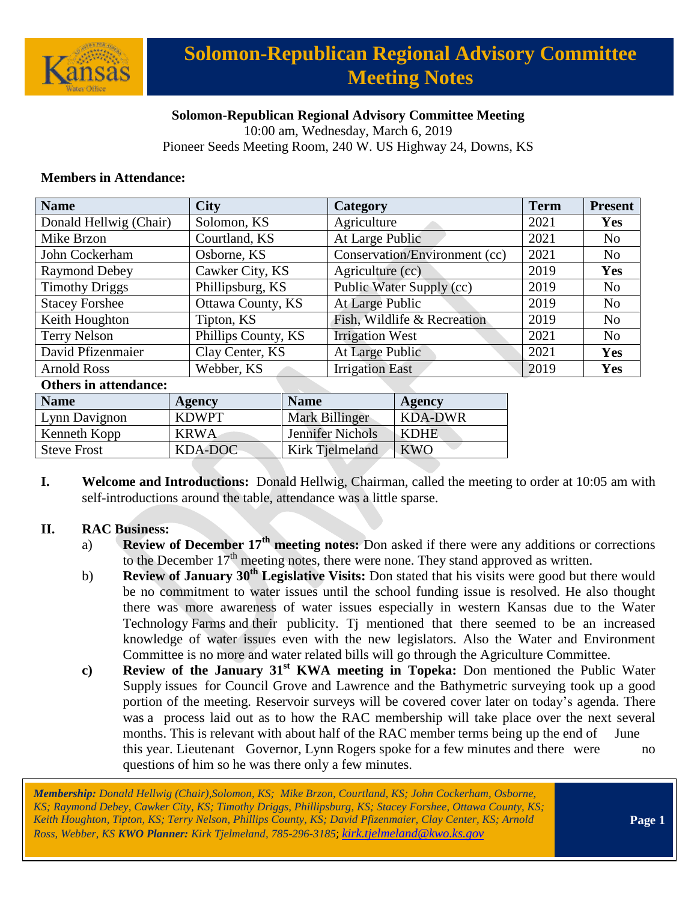

# **Solomon-Republican Regional Advisory Committee Meeting Notes**

## **Solomon-Republican Regional Advisory Committee Meeting**

10:00 am, Wednesday, March 6, 2019

Pioneer Seeds Meeting Room, 240 W. US Highway 24, Downs, KS

## **Members in Attendance:**

| <b>Name</b>            | <b>City</b>         | Category                      | <b>Term</b> | <b>Present</b> |
|------------------------|---------------------|-------------------------------|-------------|----------------|
| Donald Hellwig (Chair) | Solomon, KS         | Agriculture                   | 2021        | <b>Yes</b>     |
| Mike Brzon             | Courtland, KS       | At Large Public               | 2021        | N <sub>o</sub> |
| John Cockerham         | Osborne, KS         | Conservation/Environment (cc) | 2021        | N <sub>0</sub> |
| <b>Raymond Debey</b>   | Cawker City, KS     | Agriculture (cc)              | 2019        | Yes            |
| <b>Timothy Driggs</b>  | Phillipsburg, KS    | Public Water Supply (cc)      | 2019        | N <sub>o</sub> |
| <b>Stacey Forshee</b>  | Ottawa County, KS   | At Large Public               | 2019        | N <sub>o</sub> |
| Keith Houghton         | Tipton, KS          | Fish, Wildlife & Recreation   | 2019        | N <sub>o</sub> |
| Terry Nelson           | Phillips County, KS | <b>Irrigation West</b>        | 2021        | N <sub>o</sub> |
| David Pfizenmaier      | Clay Center, KS     | At Large Public               | 2021        | Yes            |
| <b>Arnold Ross</b>     | Webber, KS          | <b>Irrigation East</b>        | 2019        | Yes            |

#### **Others in attendance:**

| <b>Name</b>        | Agency       | <b>Name</b>      | Agency      |
|--------------------|--------------|------------------|-------------|
| Lynn Davignon      | <b>KDWPT</b> | Mark Billinger   | KDA-DWR     |
| Kenneth Kopp       | <b>KRWA</b>  | Jennifer Nichols | <b>KDHE</b> |
| <b>Steve Frost</b> | KDA-DOC      | Kirk Tielmeland  | <b>KWO</b>  |

**I. Welcome and Introductions:** Donald Hellwig, Chairman, called the meeting to order at 10:05 am with self-introductions around the table, attendance was a little sparse.

### **II. RAC Business:**

- a) **Review of December 17th meeting notes:** Don asked if there were any additions or corrections to the December  $17<sup>th</sup>$  meeting notes, there were none. They stand approved as written.
- b) **Review of January 30th Legislative Visits:** Don stated that his visits were good but there would be no commitment to water issues until the school funding issue is resolved. He also thought there was more awareness of water issues especially in western Kansas due to the Water Technology Farms and their publicity. Tj mentioned that there seemed to be an increased knowledge of water issues even with the new legislators. Also the Water and Environment Committee is no more and water related bills will go through the Agriculture Committee.
- **c) Review of the January 31st KWA meeting in Topeka:** Don mentioned the Public Water Supply issues for Council Grove and Lawrence and the Bathymetric surveying took up a good portion of the meeting. Reservoir surveys will be covered cover later on today's agenda. There was a process laid out as to how the RAC membership will take place over the next several months. This is relevant with about half of the RAC member terms being up the end of June this year. Lieutenant Governor, Lynn Rogers spoke for a few minutes and there were no questions of him so he was there only a few minutes.

*Membership: Donald Hellwig (Chair),Solomon, KS; Mike Brzon, Courtland, KS; John Cockerham, Osborne, KS; Raymond Debey, Cawker City, KS; Timothy Driggs, Phillipsburg, KS; Stacey Forshee, Ottawa County, KS; Keith Houghton, Tipton, KS; Terry Nelson, Phillips County, KS; David Pfizenmaier, Clay Center, KS; Arnold Ross, Webber, KS KWO Planner: Kirk Tjelmeland, 785-296-3185*; *[kirk.tjelmeland@kwo.ks.gov](mailto:kirk.tjelmeland@kwo.ks.gov)*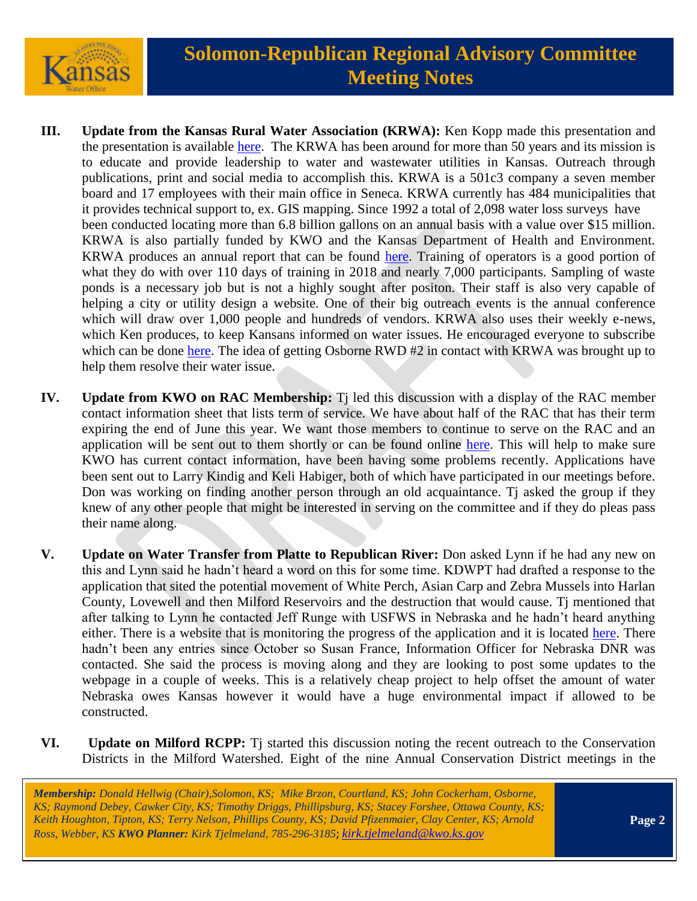

- **III. Update from the Kansas Rural Water Association (KRWA):** Ken Kopp made this presentation and the presentation is available [here.](https://kwo.ks.gov/docs/default-source/regional-advisory-committees/solomon-republican-rac/solomon-republican-rac-presentations/krwatidbits.pdf?sfvrsn=be018514_2) The KRWA has been around for more than 50 years and its mission is to educate and provide leadership to water and wastewater utilities in Kansas. Outreach through publications, print and social media to accomplish this. KRWA is a 501c3 company a seven member board and 17 employees with their main office in Seneca. KRWA currently has 484 municipalities that it provides technical support to, ex. GIS mapping. Since 1992 a total of 2,098 water loss surveys have been conducted locating more than 6.8 billion gallons on an annual basis with a value over \$15 million. KRWA is also partially funded by KWO and the Kansas Department of Health and Environment. KRWA produces an annual report that can be found [here.](https://www.krwa.net/) Training of operators is a good portion of what they do with over 110 days of training in 2018 and nearly 7,000 participants. Sampling of waste ponds is a necessary job but is not a highly sought after positon. Their staff is also very capable of helping a city or utility design a website. One of their big outreach events is the annual conference which will draw over 1,000 people and hundreds of vendors. KRWA also uses their weekly e-news, which Ken produces, to keep Kansans informed on water issues. He encouraged everyone to subscribe which can be done [here.](https://krwa.net/enews) The idea of getting Osborne RWD #2 in contact with KRWA was brought up to help them resolve their water issue.
- **IV. Update from KWO on RAC Membership:** Tj led this discussion with a display of the RAC member contact information sheet that lists term of service. We have about half of the RAC that has their term expiring the end of June this year. We want those members to continue to serve on the RAC and an application will be sent out to them shortly or can be found online [here.](https://www.kwo.ks.gov/about-the-kwo/regional-advisory-committees) This will help to make sure KWO has current contact information, have been having some problems recently. Applications have been sent out to Larry Kindig and Keli Habiger, both of which have participated in our meetings before. Don was working on finding another person through an old acquaintance. Ti asked the group if they knew of any other people that might be interested in serving on the committee and if they do pleas pass their name along.
- **V. Update on Water Transfer from Platte to Republican River:** Don asked Lynn if he had any new on this and Lynn said he hadn't heard a word on this for some time. KDWPT had drafted a response to the application that sited the potential movement of White Perch, Asian Carp and Zebra Mussels into Harlan County, Lovewell and then Milford Reservoirs and the destruction that would cause. Tj mentioned that after talking to Lynn he contacted Jeff Runge with USFWS in Nebraska and he hadn't heard anything either. There is a website that is monitoring the progress of the application and it is located [here.](https://dnr.nebraska.gov/surface-water/transbasin-diversion) There hadn't been any entries since October so Susan France, Information Officer for Nebraska DNR was contacted. She said the process is moving along and they are looking to post some updates to the webpage in a couple of weeks. This is a relatively cheap project to help offset the amount of water Nebraska owes Kansas however it would have a huge environmental impact if allowed to be constructed.
- **VI. Update on Milford RCPP:** Tj started this discussion noting the recent outreach to the Conservation Districts in the Milford Watershed. Eight of the nine Annual Conservation District meetings in the

*Membership: Donald Hellwig (Chair),Solomon, KS; Mike Brzon, Courtland, KS; John Cockerham, Osborne, KS; Raymond Debey, Cawker City, KS; Timothy Driggs, Phillipsburg, KS; Stacey Forshee, Ottawa County, KS; Keith Houghton, Tipton, KS; Terry Nelson, Phillips County, KS; David Pfizenmaier, Clay Center, KS; Arnold Ross, Webber, KS KWO Planner: Kirk Tjelmeland, 785-296-3185*; *[kirk.tjelmeland@kwo.ks.gov](mailto:kirk.tjelmeland@kwo.ks.gov)*